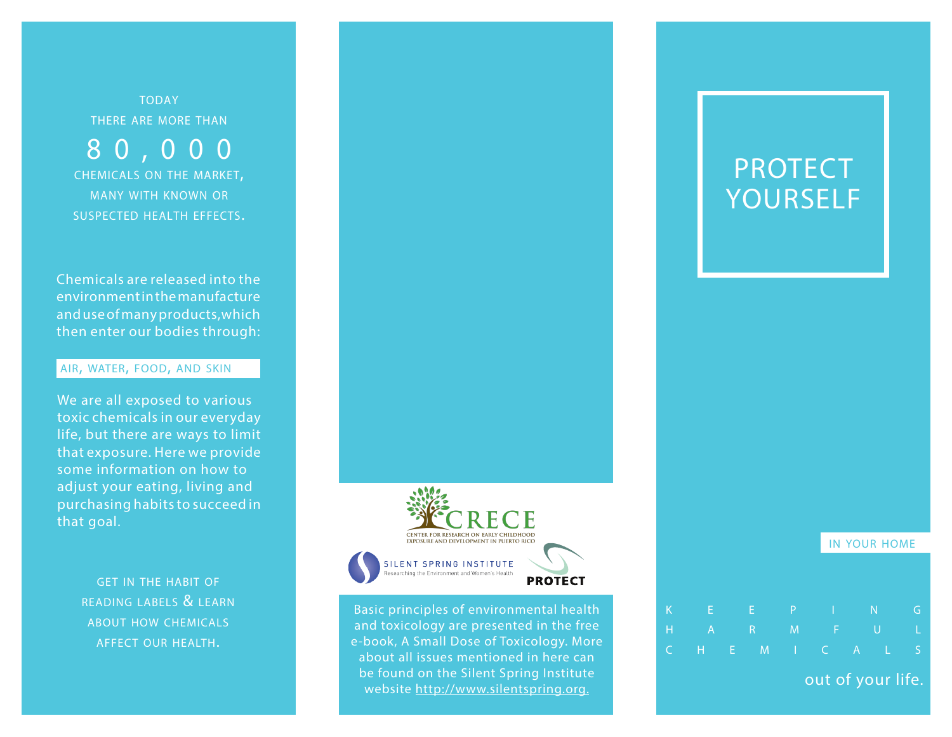**TODAY** there are more than

8 0 , 0 0 0 chemicals on the market, many with known or suspected health effects.

Chemicals are released into the environment in the manufacture and use of many products,which then enter our bodies through:

# air, water, food, and skin

We are all exposed to various toxic chemicals in our everyday life, but there are ways to limit that exposure. Here we provide some information on how to adjust your eating, living and purchasing habits to succeed in that goal.

> get in the habit of reading labels & learn about how chemicals affect our health.



Basic principles of environmental health and toxicology are presented in the free e-book, A Small Dose of Toxicology. More about all issues mentioned in here can be found on the Silent Spring Institute website http://www.silentspring.org.

# PROTECT YOURSELF

in your home

| K | e e F       |  | -F                |                   |  |    |
|---|-------------|--|-------------------|-------------------|--|----|
|   | H A R M F U |  |                   |                   |  | T. |
|   |             |  | C H E M I C A L S |                   |  |    |
|   |             |  |                   | out of your life. |  |    |